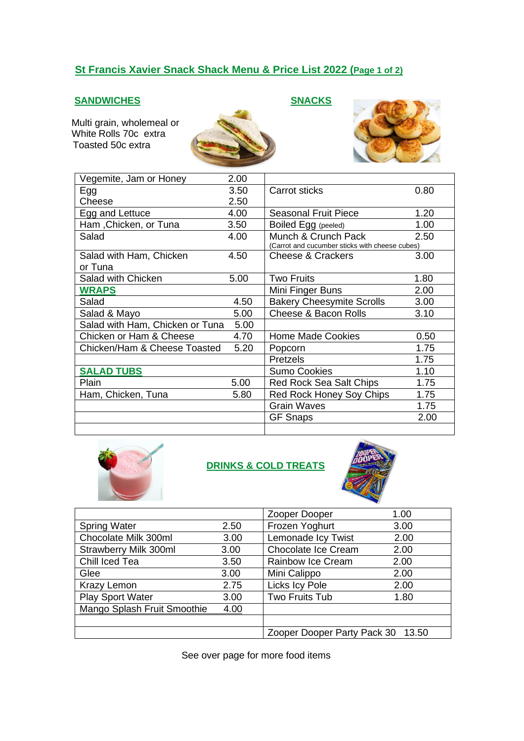# **St Francis Xavier Snack Shack Menu & Price List 2022 (Page 1 of 2)**

### **SANDWICHES SNACKS**

 Multi grain, wholemeal or White Rolls 70c extra Toasted 50c extra





| Vegemite, Jam or Honey          | 2.00 |                                                |      |
|---------------------------------|------|------------------------------------------------|------|
| Egg                             | 3.50 | Carrot sticks                                  | 0.80 |
| Cheese                          | 2.50 |                                                |      |
| Egg and Lettuce                 | 4.00 | <b>Seasonal Fruit Piece</b>                    | 1.20 |
| Ham, Chicken, or Tuna           | 3.50 | Boiled Egg (peeled)                            | 1.00 |
| Salad                           | 4.00 | Munch & Crunch Pack                            | 2.50 |
|                                 |      | (Carrot and cucumber sticks with cheese cubes) |      |
| Salad with Ham, Chicken         | 4.50 | Cheese & Crackers                              | 3.00 |
| or Tuna                         |      |                                                |      |
| Salad with Chicken              | 5.00 | <b>Two Fruits</b>                              | 1.80 |
| <b>WRAPS</b>                    |      | Mini Finger Buns                               | 2.00 |
| Salad                           | 4.50 | <b>Bakery Cheesymite Scrolls</b>               | 3.00 |
| Salad & Mayo                    | 5.00 | Cheese & Bacon Rolls                           | 3.10 |
| Salad with Ham, Chicken or Tuna | 5.00 |                                                |      |
| Chicken or Ham & Cheese         | 4.70 | <b>Home Made Cookies</b>                       | 0.50 |
| Chicken/Ham & Cheese Toasted    | 5.20 | Popcorn                                        | 1.75 |
|                                 |      | Pretzels                                       | 1.75 |
| <b>SALAD TUBS</b>               |      | <b>Sumo Cookies</b>                            | 1.10 |
| Plain                           | 5.00 | Red Rock Sea Salt Chips                        | 1.75 |
| Ham, Chicken, Tuna              | 5.80 | Red Rock Honey Soy Chips                       | 1.75 |
|                                 |      | <b>Grain Waves</b>                             | 1.75 |
|                                 |      | <b>GF Snaps</b>                                | 2.00 |
|                                 |      |                                                |      |



### **DRINKS & COLD TREATS**



|                              |      | Zooper Dooper                     | 1.00 |
|------------------------------|------|-----------------------------------|------|
| <b>Spring Water</b>          | 2.50 | Frozen Yoghurt                    | 3.00 |
| Chocolate Milk 300ml         | 3.00 | Lemonade Icy Twist                | 2.00 |
| <b>Strawberry Milk 300ml</b> | 3.00 | Chocolate Ice Cream               | 2.00 |
| Chill Iced Tea               | 3.50 | Rainbow Ice Cream                 | 2.00 |
| Glee                         | 3.00 | Mini Calippo                      | 2.00 |
| Krazy Lemon                  | 2.75 | Licks Icy Pole                    | 2.00 |
| <b>Play Sport Water</b>      | 3.00 | Two Fruits Tub                    | 1.80 |
| Mango Splash Fruit Smoothie  | 4.00 |                                   |      |
|                              |      |                                   |      |
|                              |      | Zooper Dooper Party Pack 30 13.50 |      |

See over page for more food items